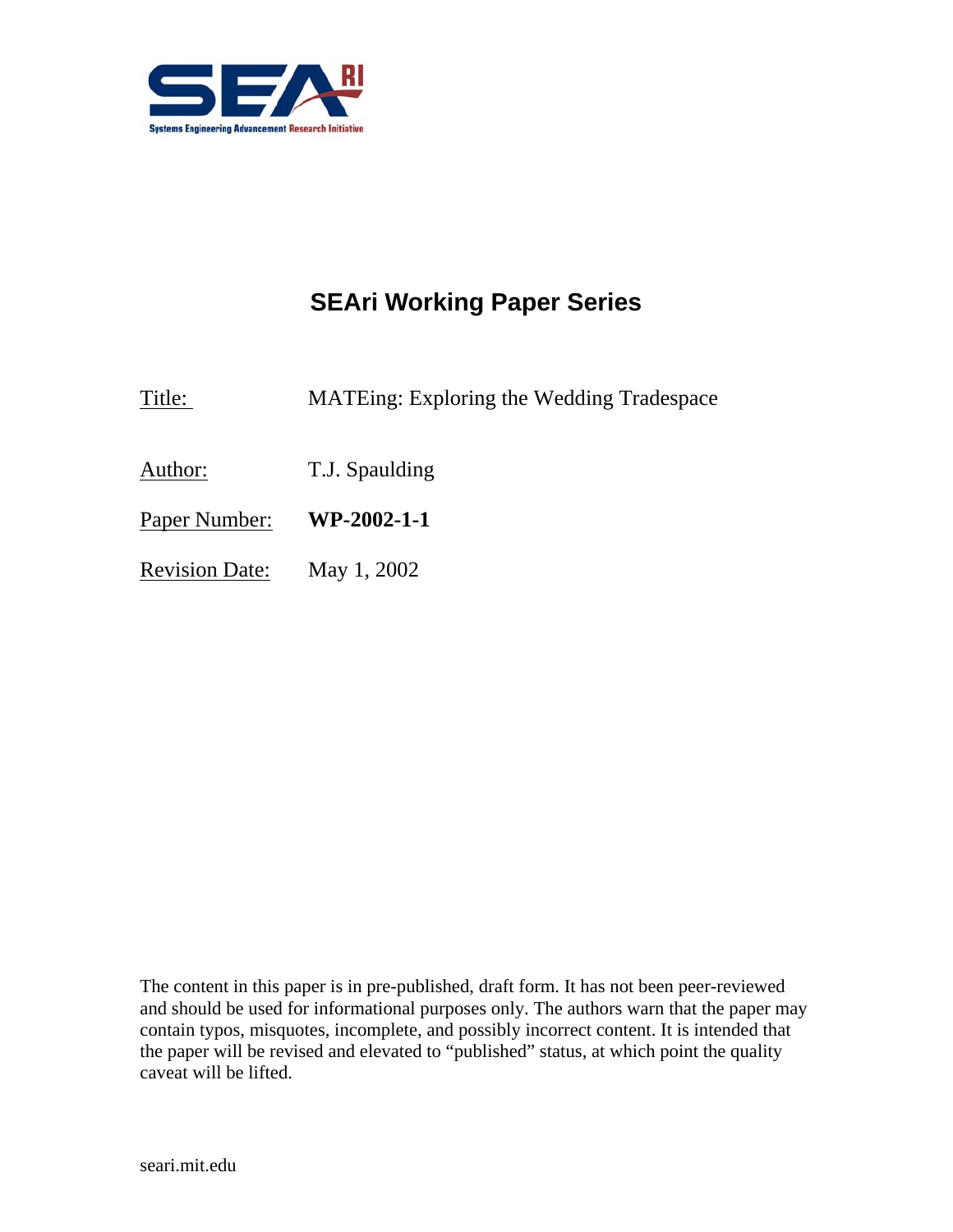

# **SEAri Working Paper Series**

Title: MATEing: Exploring the Wedding Tradespace

Author: T.J. Spaulding

Paper Number: **WP-2002-1-1** 

Revision Date: May 1, 2002

The content in this paper is in pre-published, draft form. It has not been peer-reviewed and should be used for informational purposes only. The authors warn that the paper may contain typos, misquotes, incomplete, and possibly incorrect content. It is intended that the paper will be revised and elevated to "published" status, at which point the quality caveat will be lifted.

seari.mit.edu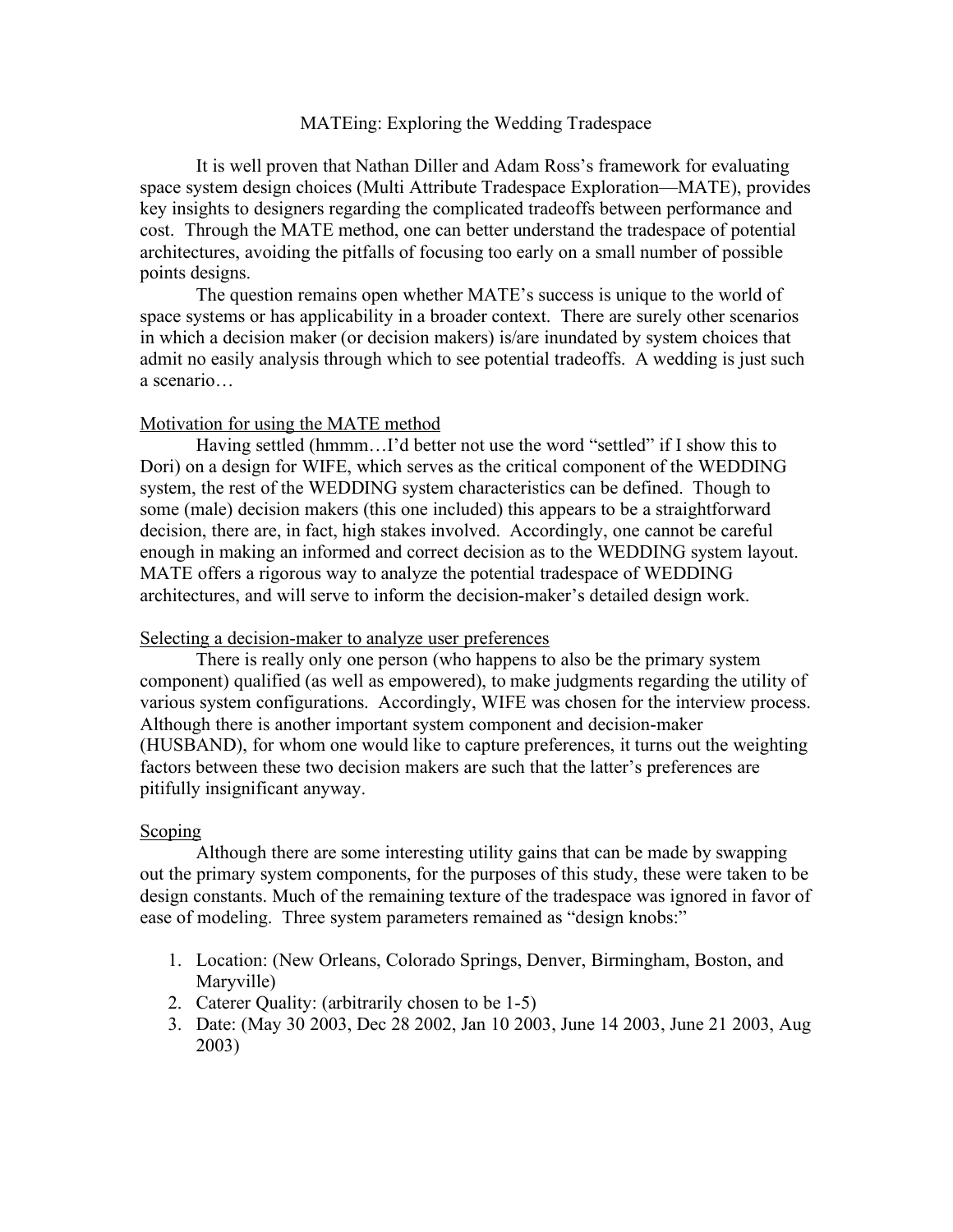# MATEing: Exploring the Wedding Tradespace

It is well proven that Nathan Diller and Adam Ross's framework for evaluating space system design choices (Multi Attribute Tradespace Exploration—MATE), provides key insights to designers regarding the complicated tradeoffs between performance and cost. Through the MATE method, one can better understand the tradespace of potential architectures, avoiding the pitfalls of focusing too early on a small number of possible points designs.

The question remains open whether MATE's success is unique to the world of space systems or has applicability in a broader context. There are surely other scenarios in which a decision maker (or decision makers) is/are inundated by system choices that admit no easily analysis through which to see potential tradeoffs. A wedding is just such a scenario…

#### Motivation for using the MATE method

Having settled (hmmm...I'd better not use the word "settled" if I show this to Dori) on a design for WIFE, which serves as the critical component of the WEDDING system, the rest of the WEDDING system characteristics can be defined. Though to some (male) decision makers (this one included) this appears to be a straightforward decision, there are, in fact, high stakes involved. Accordingly, one cannot be careful enough in making an informed and correct decision as to the WEDDING system layout. MATE offers a rigorous way to analyze the potential tradespace of WEDDING architectures, and will serve to inform the decision-maker's detailed design work.

### Selecting a decision-maker to analyze user preferences

There is really only one person (who happens to also be the primary system component) qualified (as well as empowered), to make judgments regarding the utility of various system configurations. Accordingly, WIFE was chosen for the interview process. Although there is another important system component and decision-maker (HUSBAND), for whom one would like to capture preferences, it turns out the weighting factors between these two decision makers are such that the latter's preferences are pitifully insignificant anyway.

#### Scoping

Although there are some interesting utility gains that can be made by swapping out the primary system components, for the purposes of this study, these were taken to be design constants. Much of the remaining texture of the tradespace was ignored in favor of ease of modeling. Three system parameters remained as "design knobs:"

- 1. Location: (New Orleans, Colorado Springs, Denver, Birmingham, Boston, and Maryville)
- 2. Caterer Quality: (arbitrarily chosen to be 1-5)
- 3. Date: (May 30 2003, Dec 28 2002, Jan 10 2003, June 14 2003, June 21 2003, Aug 2003)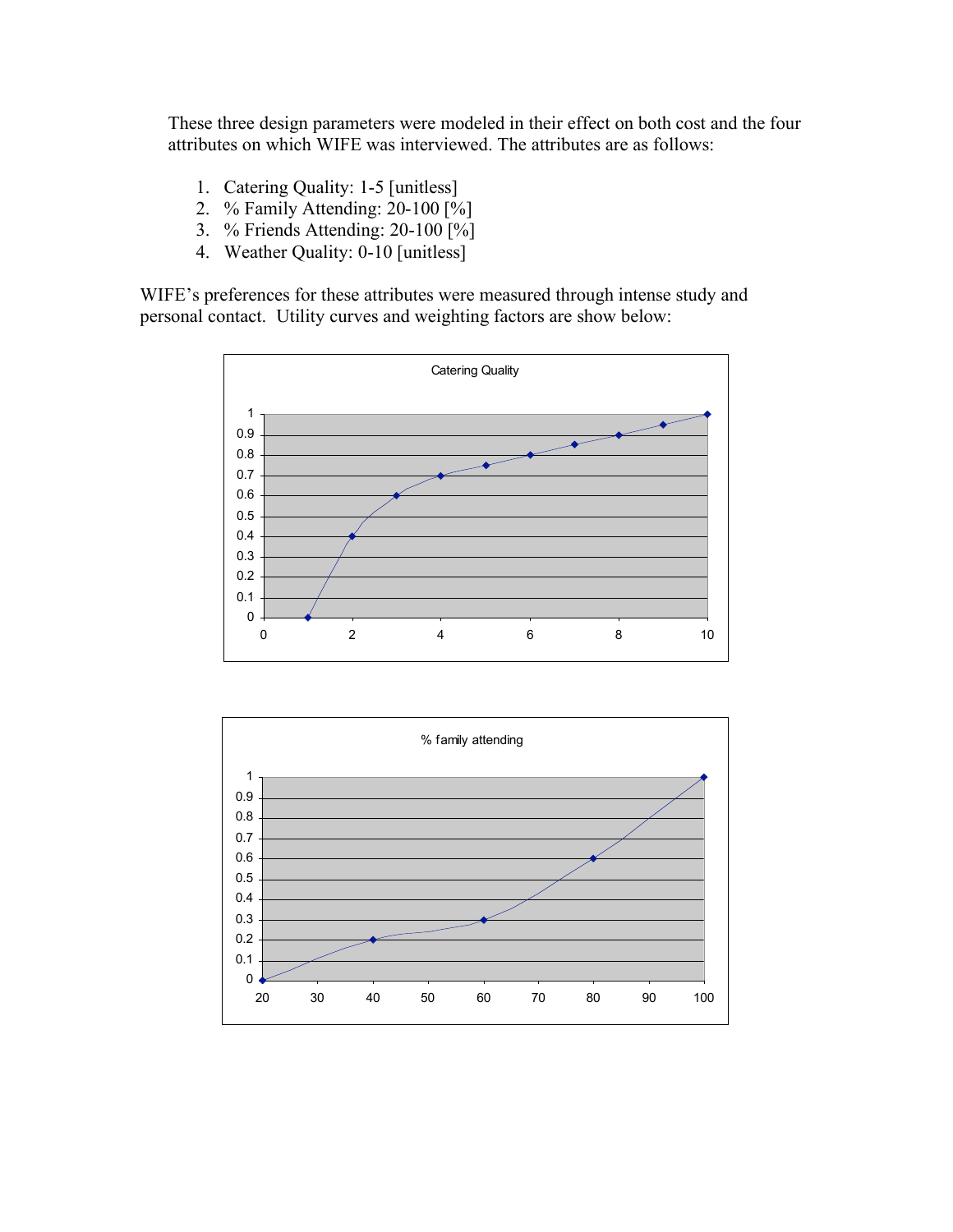These three design parameters were modeled in their effect on both cost and the four attributes on which WIFE was interviewed. The attributes are as follows:

- 1. Catering Quality: 1-5 [unitless]
- 2. % Family Attending: 20-100 [%]
- 3. % Friends Attending: 20-100 [%]
- 4. Weather Quality: 0-10 [unitless]

WIFE's preferences for these attributes were measured through intense study and personal contact. Utility curves and weighting factors are show below:



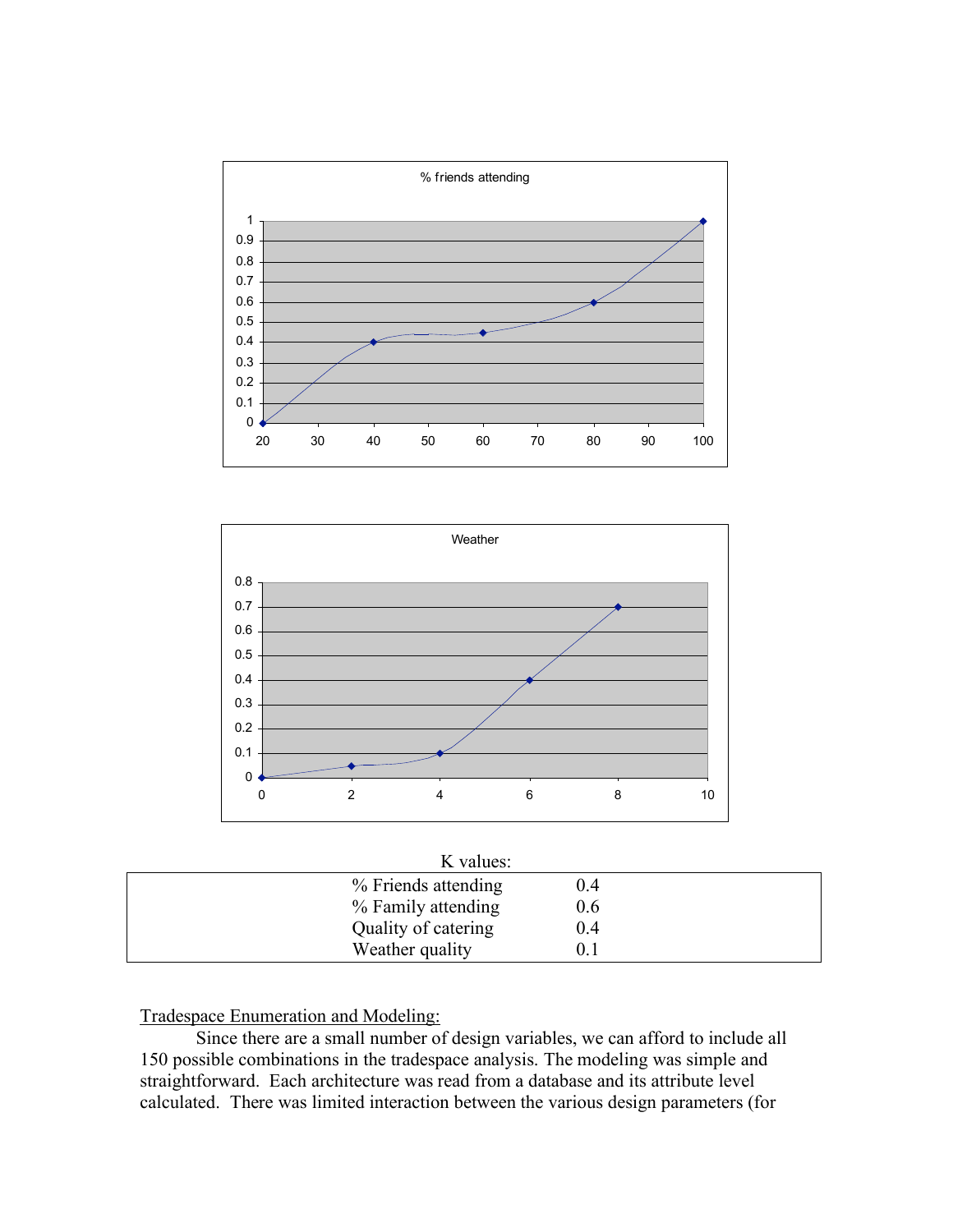



| K values:           |     |  |
|---------------------|-----|--|
| % Friends attending | 0.4 |  |
| % Family attending  | 0.6 |  |
| Quality of catering | 0.4 |  |
| Weather quality     |     |  |

Tradespace Enumeration and Modeling:

Since there are a small number of design variables, we can afford to include all 150 possible combinations in the tradespace analysis. The modeling was simple and straightforward. Each architecture was read from a database and its attribute level calculated. There was limited interaction between the various design parameters (for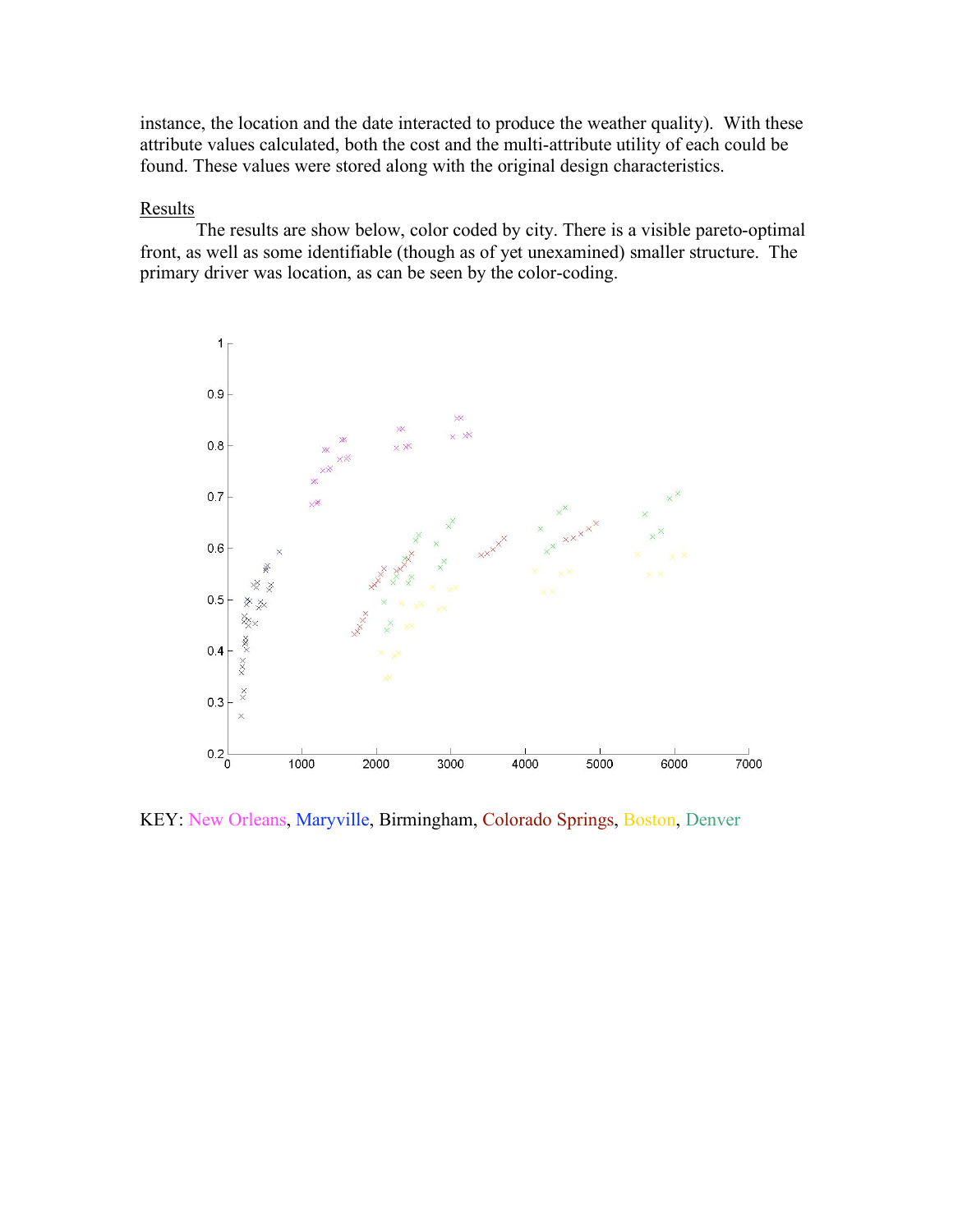instance, the location and the date interacted to produce the weather quality). With these attribute values calculated, both the cost and the multi-attribute utility of each could be found. These values were stored along with the original design characteristics.

# **Results**

The results are show below, color coded by city. There is a visible pareto-optimal front, as well as some identifiable (though as of yet unexamined) smaller structure. The primary driver was location, as can be seen by the color-coding.



KEY: New Orleans, Maryville, Birmingham, Colorado Springs, Boston, Denver